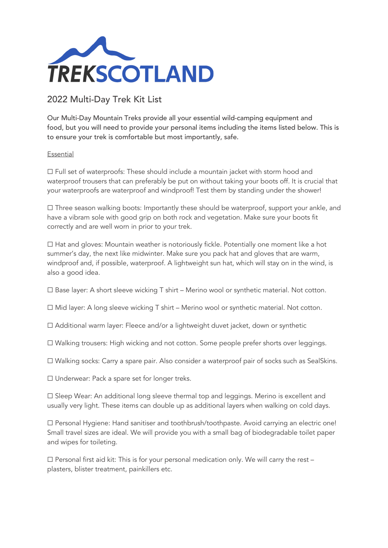

## 2022 Multi-Day Trek Kit List

Our Multi-Day Mountain Treks provide all your essential wild-camping equipment and food, but you will need to provide your personal items including the items listed below. This is to ensure your trek is comfortable but most importantly, safe.

## Essential

☐ Full set of waterproofs: These should include a mountain jacket with storm hood and waterproof trousers that can preferably be put on without taking your boots off. It is crucial that your waterproofs are waterproof and windproof! Test them by standing under the shower!

☐ Three season walking boots: Importantly these should be waterproof, support your ankle, and have a vibram sole with good grip on both rock and vegetation. Make sure your boots fit correctly and are well worn in prior to your trek.

 $\Box$  Hat and gloves: Mountain weather is notoriously fickle. Potentially one moment like a hot summer's day, the next like midwinter. Make sure you pack hat and gloves that are warm, windproof and, if possible, waterproof. A lightweight sun hat, which will stay on in the wind, is also a good idea.

 $\Box$  Base layer: A short sleeve wicking T shirt – Merino wool or synthetic material. Not cotton.

☐ Mid layer: A long sleeve wicking T shirt – Merino wool or synthetic material. Not cotton*.*

☐ Additional warm layer: Fleece and/or a lightweight duvet jacket, down or synthetic

☐ Walking trousers: High wicking and not cotton. Some people prefer shorts over leggings.

☐ Walking socks: Carry a spare pair. Also consider a waterproof pair of socks such as SealSkins*.*

☐ Underwear: Pack a spare set for longer treks.

☐ Sleep Wear: An additional long sleeve thermal top and leggings. Merino is excellent and usually very light. These items can double up as additional layers when walking on cold days.

☐ Personal Hygiene: Hand sanitiser and toothbrush/toothpaste. Avoid carrying an electric one! Small travel sizes are ideal. We will provide you with a small bag of biodegradable toilet paper and wipes for toileting.

 $\Box$  Personal first aid kit: This is for your personal medication only. We will carry the rest – plasters, blister treatment, painkillers etc.